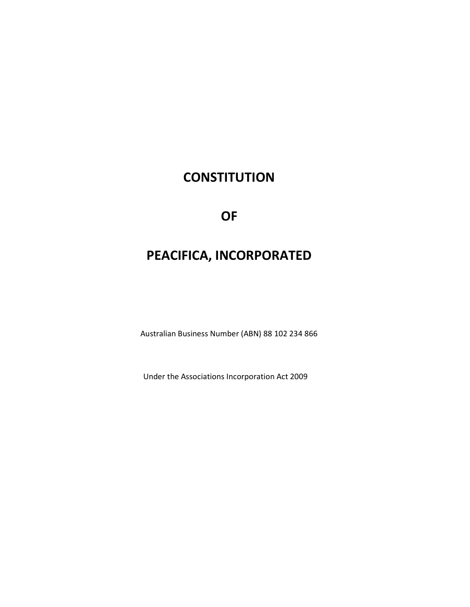# **CONSTITUTION**

**OF** 

# PEACIFICA, INCORPORATED

Australian Business Number (ABN) 88 102 234 866

Under the Associations Incorporation Act 2009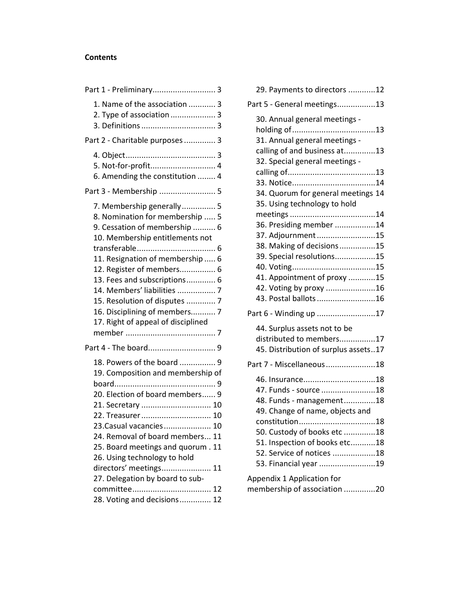#### Contents

| Part 1 - Preliminary 3                                                                                                                                                                                                                                                                                                                                                   |
|--------------------------------------------------------------------------------------------------------------------------------------------------------------------------------------------------------------------------------------------------------------------------------------------------------------------------------------------------------------------------|
| 1. Name of the association  3<br>2. Type of association  3                                                                                                                                                                                                                                                                                                               |
| Part 2 - Charitable purposes 3                                                                                                                                                                                                                                                                                                                                           |
| 5. Not-for-profit 4<br>6. Amending the constitution  4<br>Part 3 - Membership  5                                                                                                                                                                                                                                                                                         |
| 7. Membership generally 5<br>8. Nomination for membership  5<br>9. Cessation of membership  6<br>10. Membership entitlements not<br>11. Resignation of membership  6<br>12. Register of members 6<br>13. Fees and subscriptions 6<br>14. Members' liabilities  7<br>15. Resolution of disputes  7<br>16. Disciplining of members 7<br>17. Right of appeal of disciplined |
| Part 4 - The board 9                                                                                                                                                                                                                                                                                                                                                     |
| 18. Powers of the board  9<br>19. Composition and membership of<br>20. Election of board members 9<br>21. Secretary  10<br>22. Treasurer 10<br>23. Casual vacancies  10<br>24. Removal of board members 11<br>25. Board meetings and quorum . 11<br>26. Using technology to hold<br>directors' meetings 11<br>27. Delegation by board to sub-<br>committee<br>. 12       |
| 28. Voting and decisions 12                                                                                                                                                                                                                                                                                                                                              |

| 29. Payments to directors 12                                       |  |
|--------------------------------------------------------------------|--|
| Part 5 - General meetings13                                        |  |
| 30. Annual general meetings -<br>31. Annual general meetings -     |  |
| calling of and business at13<br>32. Special general meetings -     |  |
|                                                                    |  |
|                                                                    |  |
| 34. Quorum for general meetings 14<br>35. Using technology to hold |  |
|                                                                    |  |
| 36. Presiding member 14                                            |  |
| 37. Adjournment15                                                  |  |
| 38. Making of decisions15                                          |  |
| 39. Special resolutions15                                          |  |
|                                                                    |  |
| 41. Appointment of proxy 15                                        |  |
| 42. Voting by proxy 16                                             |  |
| 43. Postal ballots 16                                              |  |
| Part 6 - Winding up 17                                             |  |
| 44. Surplus assets not to be                                       |  |
| distributed to members17                                           |  |
| 45. Distribution of surplus assets17                               |  |
|                                                                    |  |
| Part 7 - Miscellaneous18                                           |  |
| 46. Insurance18                                                    |  |
| 47. Funds - source 18                                              |  |
| 48. Funds - management18                                           |  |
| 49. Change of name, objects and                                    |  |
|                                                                    |  |
| 50. Custody of books etc 18                                        |  |
| 51. Inspection of books etc18                                      |  |
| 52. Service of notices 18                                          |  |
| 53. Financial year 19                                              |  |
| Appendix 1 Application for<br>membership of association 20         |  |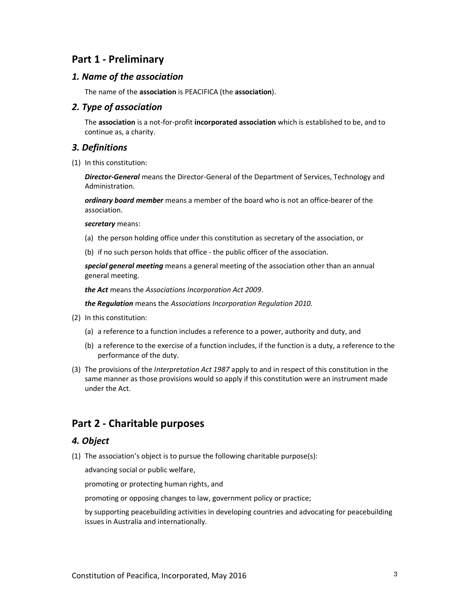# Part 1 - Preliminary

#### 1. Name of the association

The name of the association is PEACIFICA (the association).

#### 2. Type of association

The association is a not-for-profit incorporated association which is established to be, and to continue as, a charity.

#### 3. Definitions

(1) In this constitution:

Director-General means the Director-General of the Department of Services, Technology and Administration.

ordinary board member means a member of the board who is not an office-bearer of the association.

secretary means:

- (a) the person holding office under this constitution as secretary of the association, or
- (b) if no such person holds that office the public officer of the association.

special general meeting means a general meeting of the association other than an annual general meeting.

the Act means the Associations Incorporation Act 2009.

the Regulation means the Associations Incorporation Regulation 2010.

- (2) In this constitution:
	- (a) a reference to a function includes a reference to a power, authority and duty, and
	- (b) a reference to the exercise of a function includes, if the function is a duty, a reference to the performance of the duty.
- (3) The provisions of the Interpretation Act 1987 apply to and in respect of this constitution in the same manner as those provisions would so apply if this constitution were an instrument made under the Act.

# Part 2 - Charitable purposes

# 4. Object

(1) The association's object is to pursue the following charitable purpose(s):

advancing social or public welfare,

promoting or protecting human rights, and

promoting or opposing changes to law, government policy or practice;

by supporting peacebuilding activities in developing countries and advocating for peacebuilding issues in Australia and internationally.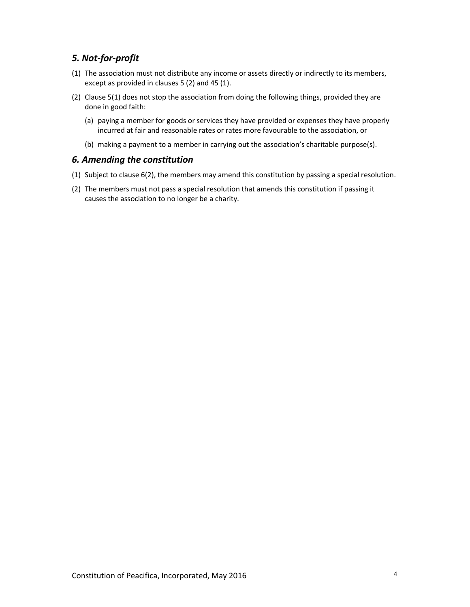# 5. Not-for-profit

- (1) The association must not distribute any income or assets directly or indirectly to its members, except as provided in clauses 5 (2) and 45 (1).
- (2) Clause 5(1) does not stop the association from doing the following things, provided they are done in good faith:
	- (a) paying a member for goods or services they have provided or expenses they have properly incurred at fair and reasonable rates or rates more favourable to the association, or
	- (b) making a payment to a member in carrying out the association's charitable purpose(s).

#### 6. Amending the constitution

- (1) Subject to clause 6(2), the members may amend this constitution by passing a special resolution.
- (2) The members must not pass a special resolution that amends this constitution if passing it causes the association to no longer be a charity.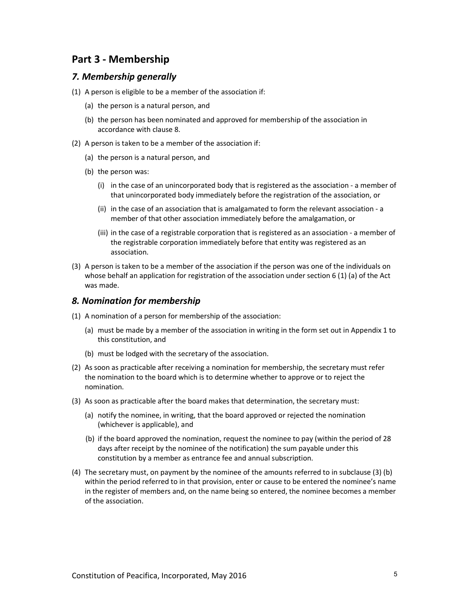# Part 3 - Membership

#### 7. Membership generally

- (1) A person is eligible to be a member of the association if:
	- (a) the person is a natural person, and
	- (b) the person has been nominated and approved for membership of the association in accordance with clause 8.
- (2) A person is taken to be a member of the association if:
	- (a) the person is a natural person, and
	- (b) the person was:
		- (i) in the case of an unincorporated body that is registered as the association a member of that unincorporated body immediately before the registration of the association, or
		- (ii) in the case of an association that is amalgamated to form the relevant association a member of that other association immediately before the amalgamation, or
		- (iii) in the case of a registrable corporation that is registered as an association a member of the registrable corporation immediately before that entity was registered as an association.
- (3) A person is taken to be a member of the association if the person was one of the individuals on whose behalf an application for registration of the association under section 6 (1) (a) of the Act was made.

#### 8. Nomination for membership

- (1) A nomination of a person for membership of the association:
	- (a) must be made by a member of the association in writing in the form set out in Appendix 1 to this constitution, and
	- (b) must be lodged with the secretary of the association.
- (2) As soon as practicable after receiving a nomination for membership, the secretary must refer the nomination to the board which is to determine whether to approve or to reject the nomination.
- (3) As soon as practicable after the board makes that determination, the secretary must:
	- (a) notify the nominee, in writing, that the board approved or rejected the nomination (whichever is applicable), and
	- (b) if the board approved the nomination, request the nominee to pay (within the period of 28 days after receipt by the nominee of the notification) the sum payable under this constitution by a member as entrance fee and annual subscription.
- (4) The secretary must, on payment by the nominee of the amounts referred to in subclause (3) (b) within the period referred to in that provision, enter or cause to be entered the nominee's name in the register of members and, on the name being so entered, the nominee becomes a member of the association.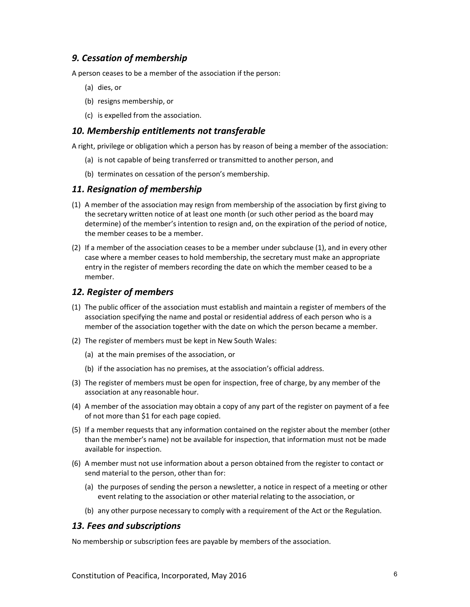### 9. Cessation of membership

A person ceases to be a member of the association if the person:

- (a) dies, or
- (b) resigns membership, or
- (c) is expelled from the association.

#### 10. Membership entitlements not transferable

A right, privilege or obligation which a person has by reason of being a member of the association:

- (a) is not capable of being transferred or transmitted to another person, and
- (b) terminates on cessation of the person's membership.

#### 11. Resignation of membership

- (1) A member of the association may resign from membership of the association by first giving to the secretary written notice of at least one month (or such other period as the board may determine) of the member's intention to resign and, on the expiration of the period of notice, the member ceases to be a member.
- (2) If a member of the association ceases to be a member under subclause (1), and in every other case where a member ceases to hold membership, the secretary must make an appropriate entry in the register of members recording the date on which the member ceased to be a member.

#### 12. Register of members

- (1) The public officer of the association must establish and maintain a register of members of the association specifying the name and postal or residential address of each person who is a member of the association together with the date on which the person became a member.
- (2) The register of members must be kept in New South Wales:
	- (a) at the main premises of the association, or
	- (b) if the association has no premises, at the association's official address.
- (3) The register of members must be open for inspection, free of charge, by any member of the association at any reasonable hour.
- (4) A member of the association may obtain a copy of any part of the register on payment of a fee of not more than \$1 for each page copied.
- (5) If a member requests that any information contained on the register about the member (other than the member's name) not be available for inspection, that information must not be made available for inspection.
- (6) A member must not use information about a person obtained from the register to contact or send material to the person, other than for:
	- (a) the purposes of sending the person a newsletter, a notice in respect of a meeting or other event relating to the association or other material relating to the association, or
	- (b) any other purpose necessary to comply with a requirement of the Act or the Regulation.

#### 13. Fees and subscriptions

No membership or subscription fees are payable by members of the association.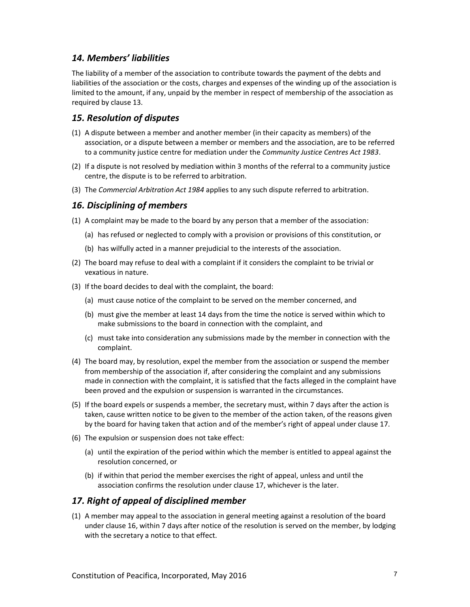#### 14. Members' liabilities

The liability of a member of the association to contribute towards the payment of the debts and liabilities of the association or the costs, charges and expenses of the winding up of the association is limited to the amount, if any, unpaid by the member in respect of membership of the association as required by clause 13.

#### 15. Resolution of disputes

- (1) A dispute between a member and another member (in their capacity as members) of the association, or a dispute between a member or members and the association, are to be referred to a community justice centre for mediation under the Community Justice Centres Act 1983.
- (2) If a dispute is not resolved by mediation within 3 months of the referral to a community justice centre, the dispute is to be referred to arbitration.
- (3) The Commercial Arbitration Act 1984 applies to any such dispute referred to arbitration.

#### 16. Disciplining of members

- (1) A complaint may be made to the board by any person that a member of the association:
	- (a) has refused or neglected to comply with a provision or provisions of this constitution, or
	- (b) has wilfully acted in a manner prejudicial to the interests of the association.
- (2) The board may refuse to deal with a complaint if it considers the complaint to be trivial or vexatious in nature.
- (3) If the board decides to deal with the complaint, the board:
	- (a) must cause notice of the complaint to be served on the member concerned, and
	- (b) must give the member at least 14 days from the time the notice is served within which to make submissions to the board in connection with the complaint, and
	- (c) must take into consideration any submissions made by the member in connection with the complaint.
- (4) The board may, by resolution, expel the member from the association or suspend the member from membership of the association if, after considering the complaint and any submissions made in connection with the complaint, it is satisfied that the facts alleged in the complaint have been proved and the expulsion or suspension is warranted in the circumstances.
- (5) If the board expels or suspends a member, the secretary must, within 7 days after the action is taken, cause written notice to be given to the member of the action taken, of the reasons given by the board for having taken that action and of the member's right of appeal under clause 17.
- (6) The expulsion or suspension does not take effect:
	- (a) until the expiration of the period within which the member is entitled to appeal against the resolution concerned, or
	- (b) if within that period the member exercises the right of appeal, unless and until the association confirms the resolution under clause 17, whichever is the later.

#### 17. Right of appeal of disciplined member

(1) A member may appeal to the association in general meeting against a resolution of the board under clause 16, within 7 days after notice of the resolution is served on the member, by lodging with the secretary a notice to that effect.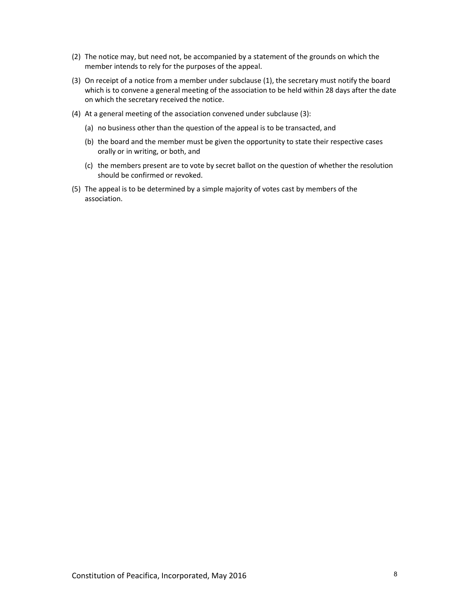- (2) The notice may, but need not, be accompanied by a statement of the grounds on which the member intends to rely for the purposes of the appeal.
- (3) On receipt of a notice from a member under subclause (1), the secretary must notify the board which is to convene a general meeting of the association to be held within 28 days after the date on which the secretary received the notice.
- (4) At a general meeting of the association convened under subclause (3):
	- (a) no business other than the question of the appeal is to be transacted, and
	- (b) the board and the member must be given the opportunity to state their respective cases orally or in writing, or both, and
	- (c) the members present are to vote by secret ballot on the question of whether the resolution should be confirmed or revoked.
- (5) The appeal is to be determined by a simple majority of votes cast by members of the association.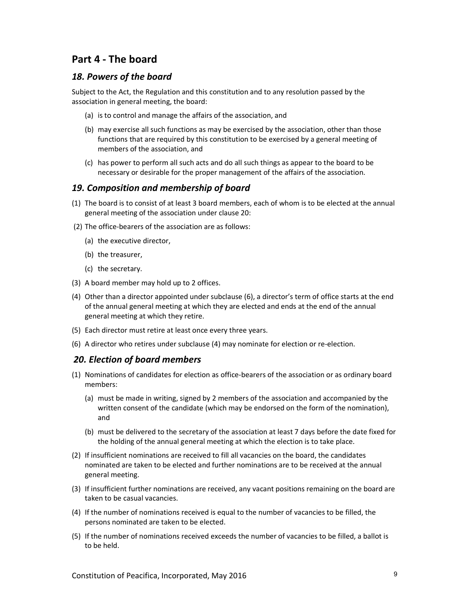# Part 4 - The board

#### 18. Powers of the board

Subject to the Act, the Regulation and this constitution and to any resolution passed by the association in general meeting, the board:

- (a) is to control and manage the affairs of the association, and
- (b) may exercise all such functions as may be exercised by the association, other than those functions that are required by this constitution to be exercised by a general meeting of members of the association, and
- (c) has power to perform all such acts and do all such things as appear to the board to be necessary or desirable for the proper management of the affairs of the association.

#### 19. Composition and membership of board

- (1) The board is to consist of at least 3 board members, each of whom is to be elected at the annual general meeting of the association under clause 20:
- (2) The office-bearers of the association are as follows:
	- (a) the executive director,
	- (b) the treasurer,
	- (c) the secretary.
- (3) A board member may hold up to 2 offices.
- (4) Other than a director appointed under subclause (6), a director's term of office starts at the end of the annual general meeting at which they are elected and ends at the end of the annual general meeting at which they retire.
- (5) Each director must retire at least once every three years.
- (6) A director who retires under subclause (4) may nominate for election or re-election.

#### 20. Election of board members

- (1) Nominations of candidates for election as office-bearers of the association or as ordinary board members:
	- (a) must be made in writing, signed by 2 members of the association and accompanied by the written consent of the candidate (which may be endorsed on the form of the nomination), and
	- (b) must be delivered to the secretary of the association at least 7 days before the date fixed for the holding of the annual general meeting at which the election is to take place.
- (2) If insufficient nominations are received to fill all vacancies on the board, the candidates nominated are taken to be elected and further nominations are to be received at the annual general meeting.
- (3) If insufficient further nominations are received, any vacant positions remaining on the board are taken to be casual vacancies.
- (4) If the number of nominations received is equal to the number of vacancies to be filled, the persons nominated are taken to be elected.
- (5) If the number of nominations received exceeds the number of vacancies to be filled, a ballot is to be held.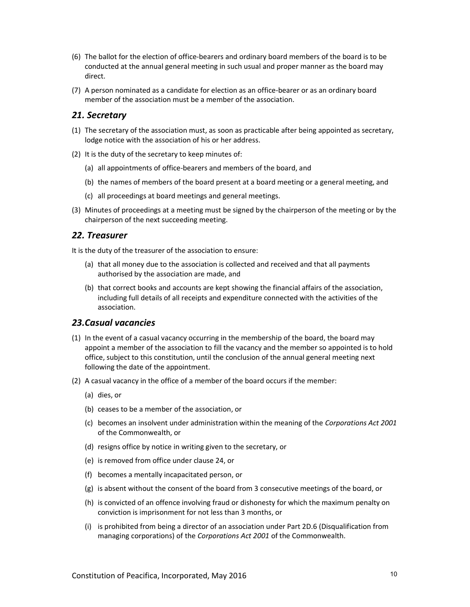- (6) The ballot for the election of office-bearers and ordinary board members of the board is to be conducted at the annual general meeting in such usual and proper manner as the board may direct.
- (7) A person nominated as a candidate for election as an office-bearer or as an ordinary board member of the association must be a member of the association.

#### 21. Secretary

- (1) The secretary of the association must, as soon as practicable after being appointed as secretary, lodge notice with the association of his or her address.
- (2) It is the duty of the secretary to keep minutes of:
	- (a) all appointments of office-bearers and members of the board, and
	- (b) the names of members of the board present at a board meeting or a general meeting, and
	- (c) all proceedings at board meetings and general meetings.
- (3) Minutes of proceedings at a meeting must be signed by the chairperson of the meeting or by the chairperson of the next succeeding meeting.

#### 22. Treasurer

It is the duty of the treasurer of the association to ensure:

- (a) that all money due to the association is collected and received and that all payments authorised by the association are made, and
- (b) that correct books and accounts are kept showing the financial affairs of the association, including full details of all receipts and expenditure connected with the activities of the association.

#### 23.Casual vacancies

- (1) In the event of a casual vacancy occurring in the membership of the board, the board may appoint a member of the association to fill the vacancy and the member so appointed is to hold office, subject to this constitution, until the conclusion of the annual general meeting next following the date of the appointment.
- (2) A casual vacancy in the office of a member of the board occurs if the member:
	- (a) dies, or
	- (b) ceases to be a member of the association, or
	- (c) becomes an insolvent under administration within the meaning of the Corporations Act 2001 of the Commonwealth, or
	- (d) resigns office by notice in writing given to the secretary, or
	- (e) is removed from office under clause 24, or
	- (f) becomes a mentally incapacitated person, or
	- (g) is absent without the consent of the board from 3 consecutive meetings of the board, or
	- (h) is convicted of an offence involving fraud or dishonesty for which the maximum penalty on conviction is imprisonment for not less than 3 months, or
	- (i) is prohibited from being a director of an association under Part 2D.6 (Disqualification from managing corporations) of the Corporations Act 2001 of the Commonwealth.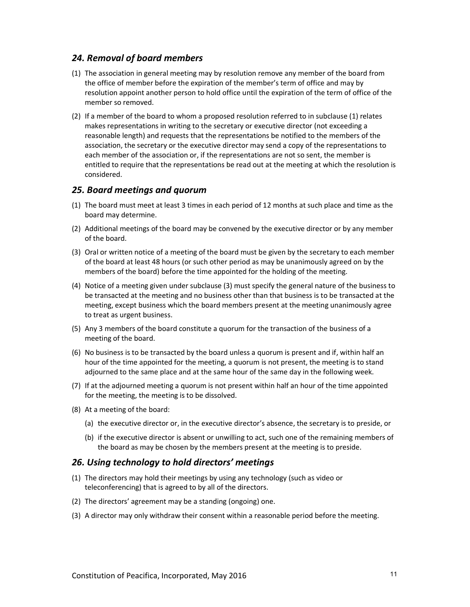#### 24. Removal of board members

- (1) The association in general meeting may by resolution remove any member of the board from the office of member before the expiration of the member's term of office and may by resolution appoint another person to hold office until the expiration of the term of office of the member so removed.
- (2) If a member of the board to whom a proposed resolution referred to in subclause (1) relates makes representations in writing to the secretary or executive director (not exceeding a reasonable length) and requests that the representations be notified to the members of the association, the secretary or the executive director may send a copy of the representations to each member of the association or, if the representations are not so sent, the member is entitled to require that the representations be read out at the meeting at which the resolution is considered.

#### 25. Board meetings and quorum

- (1) The board must meet at least 3 times in each period of 12 months at such place and time as the board may determine.
- (2) Additional meetings of the board may be convened by the executive director or by any member of the board.
- (3) Oral or written notice of a meeting of the board must be given by the secretary to each member of the board at least 48 hours (or such other period as may be unanimously agreed on by the members of the board) before the time appointed for the holding of the meeting.
- (4) Notice of a meeting given under subclause (3) must specify the general nature of the business to be transacted at the meeting and no business other than that business is to be transacted at the meeting, except business which the board members present at the meeting unanimously agree to treat as urgent business.
- (5) Any 3 members of the board constitute a quorum for the transaction of the business of a meeting of the board.
- (6) No business is to be transacted by the board unless a quorum is present and if, within half an hour of the time appointed for the meeting, a quorum is not present, the meeting is to stand adjourned to the same place and at the same hour of the same day in the following week.
- (7) If at the adjourned meeting a quorum is not present within half an hour of the time appointed for the meeting, the meeting is to be dissolved.
- (8) At a meeting of the board:
	- (a) the executive director or, in the executive director's absence, the secretary is to preside, or
	- (b) if the executive director is absent or unwilling to act, such one of the remaining members of the board as may be chosen by the members present at the meeting is to preside.

#### 26. Using technology to hold directors' meetings

- (1) The directors may hold their meetings by using any technology (such as video or teleconferencing) that is agreed to by all of the directors.
- (2) The directors' agreement may be a standing (ongoing) one.
- (3) A director may only withdraw their consent within a reasonable period before the meeting.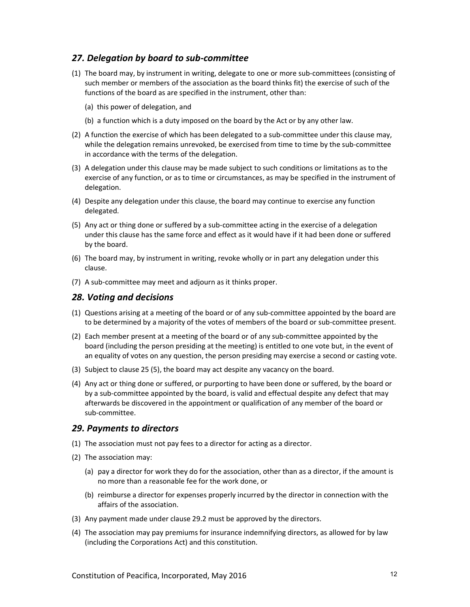#### 27. Delegation by board to sub-committee

- (1) The board may, by instrument in writing, delegate to one or more sub-committees (consisting of such member or members of the association as the board thinks fit) the exercise of such of the functions of the board as are specified in the instrument, other than:
	- (a) this power of delegation, and
	- (b) a function which is a duty imposed on the board by the Act or by any other law.
- (2) A function the exercise of which has been delegated to a sub-committee under this clause may, while the delegation remains unrevoked, be exercised from time to time by the sub-committee in accordance with the terms of the delegation.
- (3) A delegation under this clause may be made subject to such conditions or limitations as to the exercise of any function, or as to time or circumstances, as may be specified in the instrument of delegation.
- (4) Despite any delegation under this clause, the board may continue to exercise any function delegated.
- (5) Any act or thing done or suffered by a sub-committee acting in the exercise of a delegation under this clause has the same force and effect as it would have if it had been done or suffered by the board.
- (6) The board may, by instrument in writing, revoke wholly or in part any delegation under this clause.
- (7) A sub-committee may meet and adjourn as it thinks proper.

#### 28. Voting and decisions

- (1) Questions arising at a meeting of the board or of any sub-committee appointed by the board are to be determined by a majority of the votes of members of the board or sub-committee present.
- (2) Each member present at a meeting of the board or of any sub-committee appointed by the board (including the person presiding at the meeting) is entitled to one vote but, in the event of an equality of votes on any question, the person presiding may exercise a second or casting vote.
- (3) Subject to clause 25 (5), the board may act despite any vacancy on the board.
- (4) Any act or thing done or suffered, or purporting to have been done or suffered, by the board or by a sub-committee appointed by the board, is valid and effectual despite any defect that may afterwards be discovered in the appointment or qualification of any member of the board or sub-committee.

#### 29. Payments to directors

- (1) The association must not pay fees to a director for acting as a director.
- (2) The association may:
	- (a) pay a director for work they do for the association, other than as a director, if the amount is no more than a reasonable fee for the work done, or
	- (b) reimburse a director for expenses properly incurred by the director in connection with the affairs of the association.
- (3) Any payment made under clause 29.2 must be approved by the directors.
- (4) The association may pay premiums for insurance indemnifying directors, as allowed for by law (including the Corporations Act) and this constitution.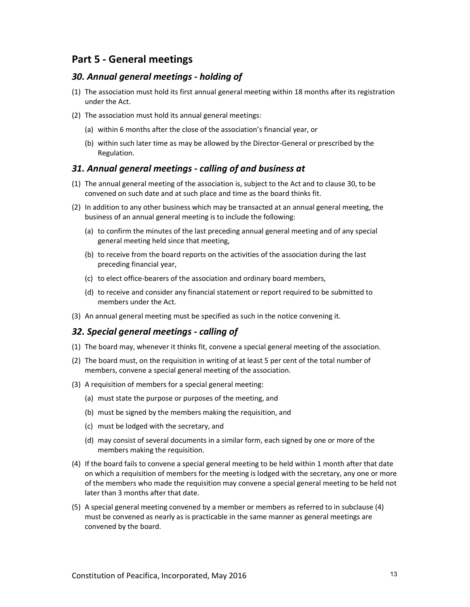# Part 5 - General meetings

#### 30. Annual general meetings - holding of

- (1) The association must hold its first annual general meeting within 18 months after its registration under the Act.
- (2) The association must hold its annual general meetings:
	- (a) within 6 months after the close of the association's financial year, or
	- (b) within such later time as may be allowed by the Director-General or prescribed by the Regulation.

#### 31. Annual general meetings - calling of and business at

- (1) The annual general meeting of the association is, subject to the Act and to clause 30, to be convened on such date and at such place and time as the board thinks fit.
- (2) In addition to any other business which may be transacted at an annual general meeting, the business of an annual general meeting is to include the following:
	- (a) to confirm the minutes of the last preceding annual general meeting and of any special general meeting held since that meeting,
	- (b) to receive from the board reports on the activities of the association during the last preceding financial year,
	- (c) to elect office-bearers of the association and ordinary board members,
	- (d) to receive and consider any financial statement or report required to be submitted to members under the Act.
- (3) An annual general meeting must be specified as such in the notice convening it.

#### 32. Special general meetings - calling of

- (1) The board may, whenever it thinks fit, convene a special general meeting of the association.
- (2) The board must, on the requisition in writing of at least 5 per cent of the total number of members, convene a special general meeting of the association.
- (3) A requisition of members for a special general meeting:
	- (a) must state the purpose or purposes of the meeting, and
	- (b) must be signed by the members making the requisition, and
	- (c) must be lodged with the secretary, and
	- (d) may consist of several documents in a similar form, each signed by one or more of the members making the requisition.
- (4) If the board fails to convene a special general meeting to be held within 1 month after that date on which a requisition of members for the meeting is lodged with the secretary, any one or more of the members who made the requisition may convene a special general meeting to be held not later than 3 months after that date.
- (5) A special general meeting convened by a member or members as referred to in subclause (4) must be convened as nearly as is practicable in the same manner as general meetings are convened by the board.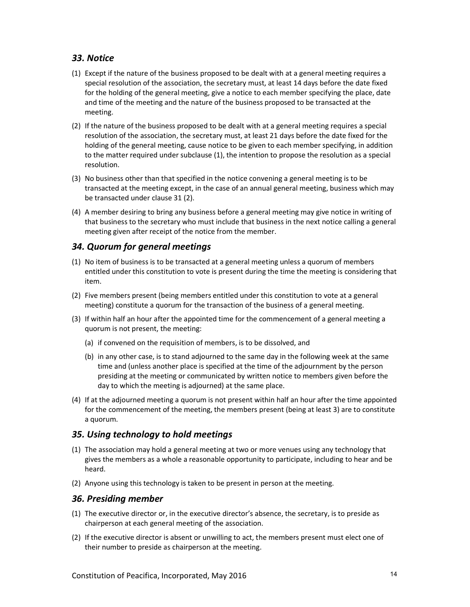#### 33. Notice

- (1) Except if the nature of the business proposed to be dealt with at a general meeting requires a special resolution of the association, the secretary must, at least 14 days before the date fixed for the holding of the general meeting, give a notice to each member specifying the place, date and time of the meeting and the nature of the business proposed to be transacted at the meeting.
- (2) If the nature of the business proposed to be dealt with at a general meeting requires a special resolution of the association, the secretary must, at least 21 days before the date fixed for the holding of the general meeting, cause notice to be given to each member specifying, in addition to the matter required under subclause (1), the intention to propose the resolution as a special resolution.
- (3) No business other than that specified in the notice convening a general meeting is to be transacted at the meeting except, in the case of an annual general meeting, business which may be transacted under clause 31 (2).
- (4) A member desiring to bring any business before a general meeting may give notice in writing of that business to the secretary who must include that business in the next notice calling a general meeting given after receipt of the notice from the member.

#### 34. Quorum for general meetings

- (1) No item of business is to be transacted at a general meeting unless a quorum of members entitled under this constitution to vote is present during the time the meeting is considering that item.
- (2) Five members present (being members entitled under this constitution to vote at a general meeting) constitute a quorum for the transaction of the business of a general meeting.
- (3) If within half an hour after the appointed time for the commencement of a general meeting a quorum is not present, the meeting:
	- (a) if convened on the requisition of members, is to be dissolved, and
	- (b) in any other case, is to stand adjourned to the same day in the following week at the same time and (unless another place is specified at the time of the adjournment by the person presiding at the meeting or communicated by written notice to members given before the day to which the meeting is adjourned) at the same place.
- (4) If at the adjourned meeting a quorum is not present within half an hour after the time appointed for the commencement of the meeting, the members present (being at least 3) are to constitute a quorum.

#### 35. Using technology to hold meetings

- (1) The association may hold a general meeting at two or more venues using any technology that gives the members as a whole a reasonable opportunity to participate, including to hear and be heard.
- (2) Anyone using this technology is taken to be present in person at the meeting.

#### 36. Presiding member

- (1) The executive director or, in the executive director's absence, the secretary, is to preside as chairperson at each general meeting of the association.
- (2) If the executive director is absent or unwilling to act, the members present must elect one of their number to preside as chairperson at the meeting.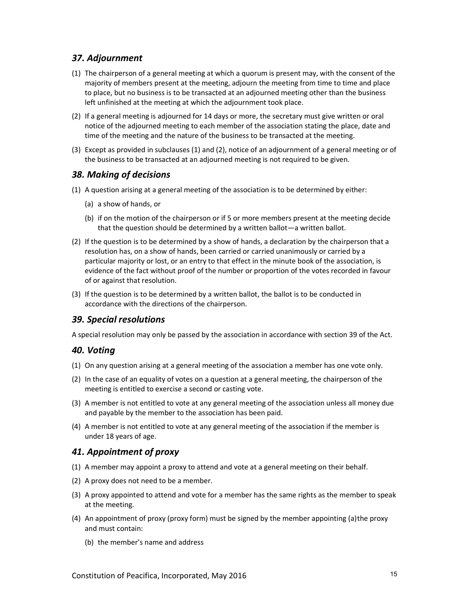# 37. Adjournment

- (1) The chairperson of a general meeting at which a quorum is present may, with the consent of the majority of members present at the meeting, adjourn the meeting from time to time and place to place, but no business is to be transacted at an adjourned meeting other than the business left unfinished at the meeting at which the adjournment took place.
- (2) If a general meeting is adjourned for 14 days or more, the secretary must give written or oral notice of the adjourned meeting to each member of the association stating the place, date and time of the meeting and the nature of the business to be transacted at the meeting.
- (3) Except as provided in subclauses (1) and (2), notice of an adjournment of a general meeting or of the business to be transacted at an adjourned meeting is not required to be given.

#### 38. Making of decisions

- (1) A question arising at a general meeting of the association is to be determined by either:
	- (a) a show of hands, or
	- (b) if on the motion of the chairperson or if 5 or more members present at the meeting decide that the question should be determined by a written ballot—a written ballot.
- (2) If the question is to be determined by a show of hands, a declaration by the chairperson that a resolution has, on a show of hands, been carried or carried unanimously or carried by a particular majority or lost, or an entry to that effect in the minute book of the association, is evidence of the fact without proof of the number or proportion of the votes recorded in favour of or against that resolution.
- (3) If the question is to be determined by a written ballot, the ballot is to be conducted in accordance with the directions of the chairperson.

#### 39. Special resolutions

A special resolution may only be passed by the association in accordance with section 39 of the Act.

#### 40. Voting

- (1) On any question arising at a general meeting of the association a member has one vote only.
- (2) In the case of an equality of votes on a question at a general meeting, the chairperson of the meeting is entitled to exercise a second or casting vote.
- (3) A member is not entitled to vote at any general meeting of the association unless all money due and payable by the member to the association has been paid.
- (4) A member is not entitled to vote at any general meeting of the association if the member is under 18 years of age.

#### 41. Appointment of proxy

- (1) A member may appoint a proxy to attend and vote at a general meeting on their behalf.
- (2) A proxy does not need to be a member.
- (3) A proxy appointed to attend and vote for a member has the same rights as the member to speak at the meeting.
- (4) An appointment of proxy (proxy form) must be signed by the member appointing (a) the proxy and must contain:
	- (b) the member's name and address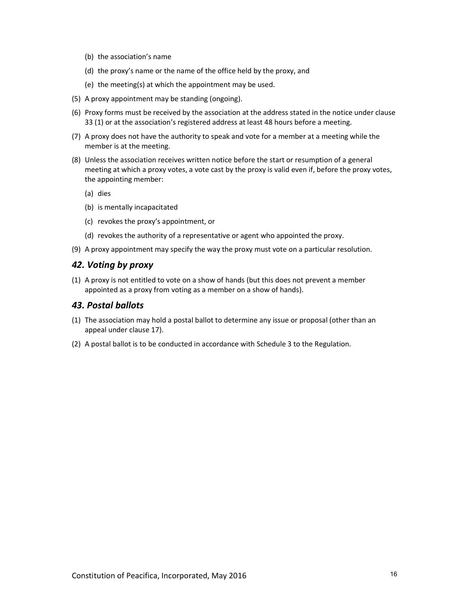- (b) the association's name
- (d) the proxy's name or the name of the office held by the proxy, and
- (e) the meeting(s) at which the appointment may be used.
- (5) A proxy appointment may be standing (ongoing).
- (6) Proxy forms must be received by the association at the address stated in the notice under clause 33 (1) or at the association's registered address at least 48 hours before a meeting.
- (7) A proxy does not have the authority to speak and vote for a member at a meeting while the member is at the meeting.
- (8) Unless the association receives written notice before the start or resumption of a general meeting at which a proxy votes, a vote cast by the proxy is valid even if, before the proxy votes, the appointing member:
	- (a) dies
	- (b) is mentally incapacitated
	- (c) revokes the proxy's appointment, or
	- (d) revokes the authority of a representative or agent who appointed the proxy.
- (9) A proxy appointment may specify the way the proxy must vote on a particular resolution.

#### 42. Voting by proxy

(1) A proxy is not entitled to vote on a show of hands (but this does not prevent a member appointed as a proxy from voting as a member on a show of hands).

#### 43. Postal ballots

- (1) The association may hold a postal ballot to determine any issue or proposal (other than an appeal under clause 17).
- (2) A postal ballot is to be conducted in accordance with Schedule 3 to the Regulation.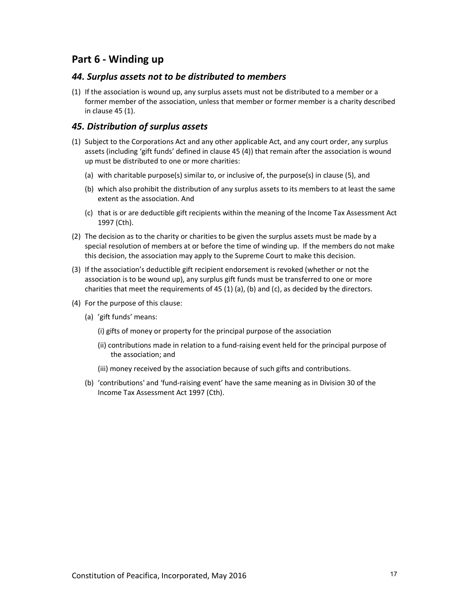# Part 6 - Winding up

#### 44. Surplus assets not to be distributed to members

(1) If the association is wound up, any surplus assets must not be distributed to a member or a former member of the association, unless that member or former member is a charity described in clause 45 (1).

#### 45. Distribution of surplus assets

- (1) Subject to the Corporations Act and any other applicable Act, and any court order, any surplus assets (including 'gift funds' defined in clause 45 (4)) that remain after the association is wound up must be distributed to one or more charities:
	- (a) with charitable purpose(s) similar to, or inclusive of, the purpose(s) in clause (5), and
	- (b) which also prohibit the distribution of any surplus assets to its members to at least the same extent as the association. And
	- (c) that is or are deductible gift recipients within the meaning of the Income Tax Assessment Act 1997 (Cth).
- (2) The decision as to the charity or charities to be given the surplus assets must be made by a special resolution of members at or before the time of winding up. If the members do not make this decision, the association may apply to the Supreme Court to make this decision.
- (3) If the association's deductible gift recipient endorsement is revoked (whether or not the association is to be wound up), any surplus gift funds must be transferred to one or more charities that meet the requirements of 45 (1) (a), (b) and (c), as decided by the directors.
- (4) For the purpose of this clause:
	- (a) 'gift funds' means:
		- (i) gifts of money or property for the principal purpose of the association
		- (ii) contributions made in relation to a fund-raising event held for the principal purpose of the association; and
		- (iii) money received by the association because of such gifts and contributions.
	- (b) 'contributions' and 'fund-raising event' have the same meaning as in Division 30 of the Income Tax Assessment Act 1997 (Cth).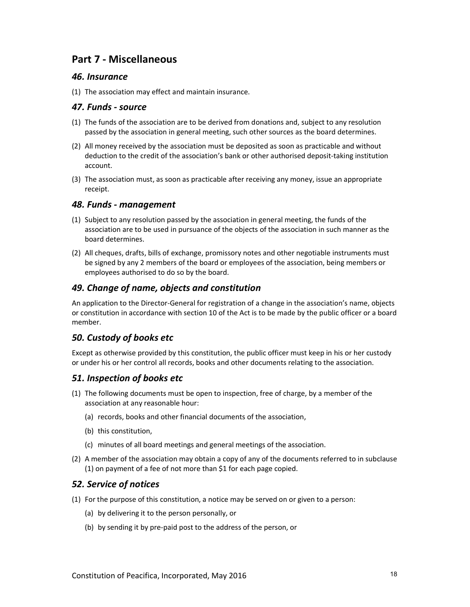# Part 7 - Miscellaneous

#### 46. Insurance

(1) The association may effect and maintain insurance.

#### 47. Funds - source

- (1) The funds of the association are to be derived from donations and, subject to any resolution passed by the association in general meeting, such other sources as the board determines.
- (2) All money received by the association must be deposited as soon as practicable and without deduction to the credit of the association's bank or other authorised deposit-taking institution account.
- (3) The association must, as soon as practicable after receiving any money, issue an appropriate receipt.

#### 48. Funds - management

- (1) Subject to any resolution passed by the association in general meeting, the funds of the association are to be used in pursuance of the objects of the association in such manner as the board determines.
- (2) All cheques, drafts, bills of exchange, promissory notes and other negotiable instruments must be signed by any 2 members of the board or employees of the association, being members or employees authorised to do so by the board.

#### 49. Change of name, objects and constitution

An application to the Director-General for registration of a change in the association's name, objects or constitution in accordance with section 10 of the Act is to be made by the public officer or a board member.

# 50. Custody of books etc

Except as otherwise provided by this constitution, the public officer must keep in his or her custody or under his or her control all records, books and other documents relating to the association.

#### 51. Inspection of books etc

- (1) The following documents must be open to inspection, free of charge, by a member of the association at any reasonable hour:
	- (a) records, books and other financial documents of the association,
	- (b) this constitution,
	- (c) minutes of all board meetings and general meetings of the association.
- (2) A member of the association may obtain a copy of any of the documents referred to in subclause (1) on payment of a fee of not more than \$1 for each page copied.

# 52. Service of notices

- (1) For the purpose of this constitution, a notice may be served on or given to a person:
	- (a) by delivering it to the person personally, or
	- (b) by sending it by pre-paid post to the address of the person, or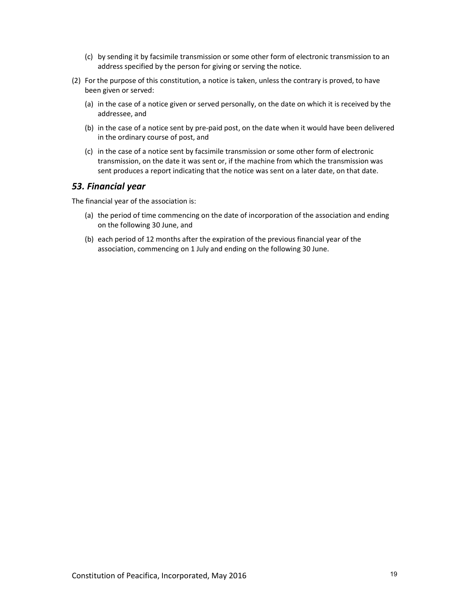- (c) by sending it by facsimile transmission or some other form of electronic transmission to an address specified by the person for giving or serving the notice.
- (2) For the purpose of this constitution, a notice is taken, unless the contrary is proved, to have been given or served:
	- (a) in the case of a notice given or served personally, on the date on which it is received by the addressee, and
	- (b) in the case of a notice sent by pre-paid post, on the date when it would have been delivered in the ordinary course of post, and
	- (c) in the case of a notice sent by facsimile transmission or some other form of electronic transmission, on the date it was sent or, if the machine from which the transmission was sent produces a report indicating that the notice was sent on a later date, on that date.

#### 53. Financial year

The financial year of the association is:

- (a) the period of time commencing on the date of incorporation of the association and ending on the following 30 June, and
- (b) each period of 12 months after the expiration of the previous financial year of the association, commencing on 1 July and ending on the following 30 June.